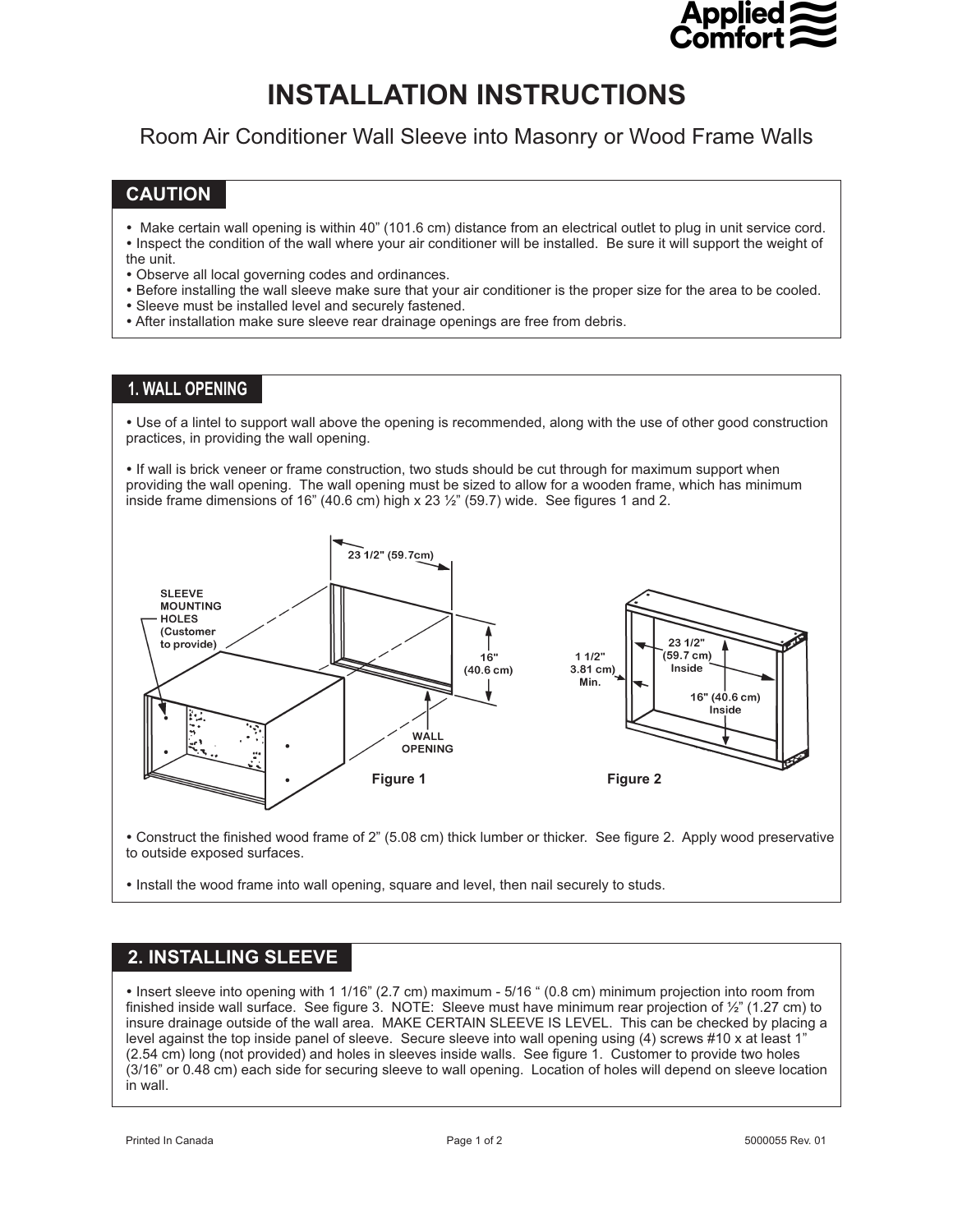

## **INSTALLATION INSTRUCTIONS**

Room Air Conditioner Wall Sleeve into Masonry or Wood Frame Walls **INSTRUCTION INSTRUCTIONS** 

## **CAUTION**

- -Make certain wall opening is within 40" (101.6 cm) distance from an electrical outlet to plug in unit service cord. Inspect the condition of the wall where your air conditioner will be installed. Be sure it will support the weight of
- the unit.
- -Observe all local governing codes and ordinances.
- -Before installing the wall sleeve make sure that your air conditioner is the proper size for the area to be cooled.
- -Sleeve must be installed level and securely fastened.
- After installation make sure sleeve rear drainage openings are free from debris.

### **1. WALL OPENING**

- Use of a lintel to support wall above the opening is recommended, along with the use of other good construction practices, in providing the wall opening.

- If wall is brick veneer or frame construction, two studs should be cut through for maximum support when providing the wall opening. The wall opening must be sized to allow for a wooden frame, which has minimum inside frame dimensions of 16" (40.6 cm) high x 23  $\frac{1}{2}$ " (59.7) wide. See figures 1 and 2.



- Construct the finished wood frame of 2" (5.08 cm) thick lumber or thicker. See figure 2. Apply wood preservative to outside exposed surfaces.

- Install the wood frame into wall opening, square and level, then nail securely to studs.

# **2. INSTALLING SLEEVE**

 Insert sleeve into opening with 1 1/16" (2.7 cm) maximum - 5/16 " (0.8 cm) minimum projection into room from finished inside wall surface. See figure 3. NOTE: Sleeve must have minimum rear projection of ½" (1.27 cm) to insure drainage outside of the wall area. MAKE CERTAIN SLEEVE IS LEVEL. This can be checked by placing a level against the top inside panel of sleeve. Secure sleeve into wall opening using (4) screws #10 x at least 1" (2.54 cm) long (not provided) and holes in sleeves inside walls. See figure 1. Customer to provide two holes (3/16" or 0.48 cm) each side for securing sleeve to wall opening. Location of holes will depend on sleeve location in wall.